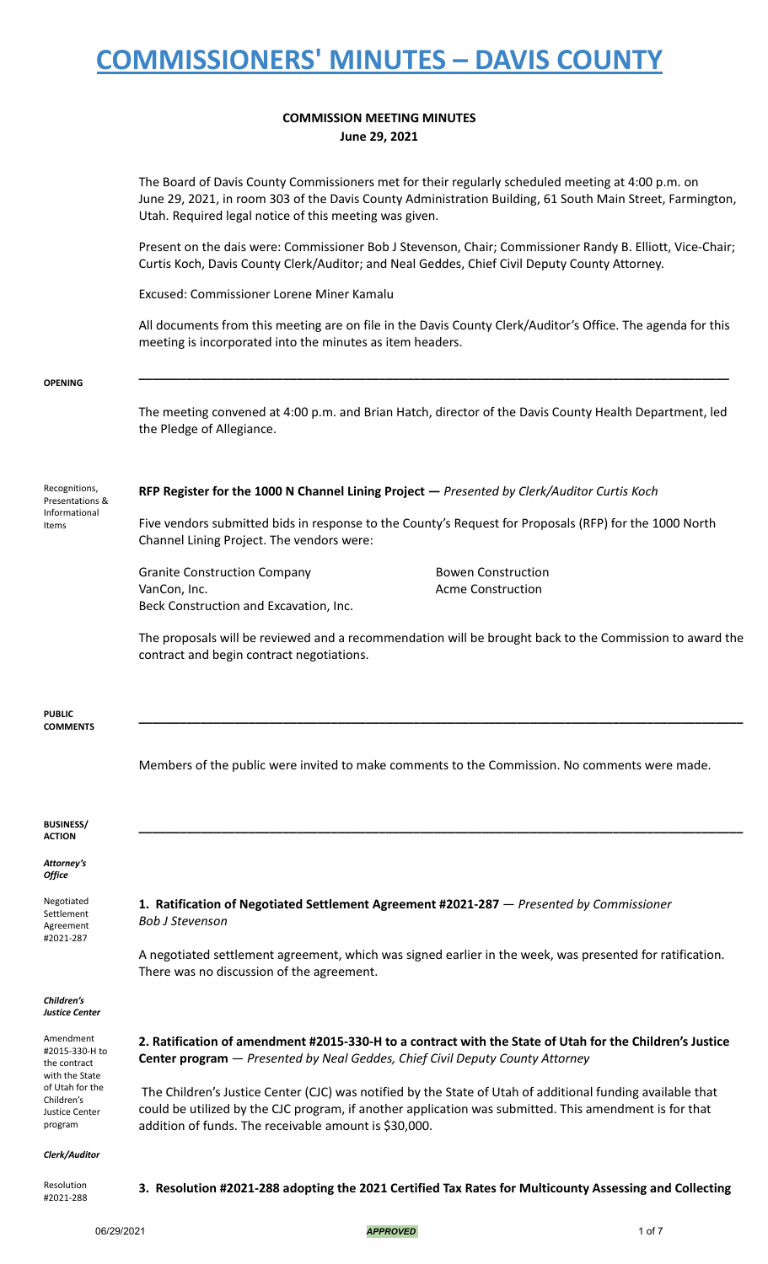### **COMMISSION MEETING MINUTES June 29, 2021**

|                                                               | The Board of Davis County Commissioners met for their regularly scheduled meeting at 4:00 p.m. on<br>June 29, 2021, in room 303 of the Davis County Administration Building, 61 South Main Street, Farmington,<br>Utah. Required legal notice of this meeting was given. |
|---------------------------------------------------------------|--------------------------------------------------------------------------------------------------------------------------------------------------------------------------------------------------------------------------------------------------------------------------|
|                                                               | Present on the dais were: Commissioner Bob J Stevenson, Chair; Commissioner Randy B. Elliott, Vice-Chair;<br>Curtis Koch, Davis County Clerk/Auditor; and Neal Geddes, Chief Civil Deputy County Attorney.                                                               |
|                                                               | Excused: Commissioner Lorene Miner Kamalu                                                                                                                                                                                                                                |
|                                                               | All documents from this meeting are on file in the Davis County Clerk/Auditor's Office. The agenda for this<br>meeting is incorporated into the minutes as item headers.                                                                                                 |
| <b>OPENING</b>                                                |                                                                                                                                                                                                                                                                          |
|                                                               | The meeting convened at 4:00 p.m. and Brian Hatch, director of the Davis County Health Department, led<br>the Pledge of Allegiance.                                                                                                                                      |
| Recognitions,<br>Presentations &<br>Informational<br>Items    | RFP Register for the 1000 N Channel Lining Project - Presented by Clerk/Auditor Curtis Koch                                                                                                                                                                              |
|                                                               | Five vendors submitted bids in response to the County's Request for Proposals (RFP) for the 1000 North<br>Channel Lining Project. The vendors were:                                                                                                                      |
|                                                               | <b>Granite Construction Company</b><br><b>Bowen Construction</b>                                                                                                                                                                                                         |
|                                                               | VanCon, Inc.<br><b>Acme Construction</b><br>Beck Construction and Excavation, Inc.                                                                                                                                                                                       |
|                                                               | The proposals will be reviewed and a recommendation will be brought back to the Commission to award the<br>contract and begin contract negotiations.                                                                                                                     |
| <b>PUBLIC</b><br><b>COMMENTS</b>                              |                                                                                                                                                                                                                                                                          |
|                                                               | Members of the public were invited to make comments to the Commission. No comments were made.                                                                                                                                                                            |
| <b>BUSINESS/</b><br><b>ACTION</b>                             |                                                                                                                                                                                                                                                                          |
| Attorney's<br>Office                                          |                                                                                                                                                                                                                                                                          |
| Negotiated<br>Settlement<br>Agreement<br>#2021-287            | 1. Ratification of Negotiated Settlement Agreement #2021-287 - Presented by Commissioner<br><b>Bob J Stevenson</b>                                                                                                                                                       |
|                                                               | A negotiated settlement agreement, which was signed earlier in the week, was presented for ratification.<br>There was no discussion of the agreement.                                                                                                                    |
| Children's<br>Justice Center                                  |                                                                                                                                                                                                                                                                          |
| Amendment<br>#2015-330-H to<br>the contract<br>with the State | 2. Ratification of amendment #2015-330-H to a contract with the State of Utah for the Children's Justice<br><b>Center program</b> - Presented by Neal Geddes, Chief Civil Deputy County Attorney                                                                         |
| of Utah for the<br>Children's                                 | The Children's Justice Center (CJC) was notified by the State of Utah of additional funding available that                                                                                                                                                               |
| <b>Justice Center</b><br>program                              | could be utilized by the CJC program, if another application was submitted. This amendment is for that<br>addition of funds. The receivable amount is \$30,000.                                                                                                          |
| Clerk/Auditor                                                 |                                                                                                                                                                                                                                                                          |
| Resolution<br>#2021-288                                       | 3. Resolution #2021-288 adopting the 2021 Certified Tax Rates for Multicounty Assessing and Collecting                                                                                                                                                                   |

06/29/2021 *APPROVED* 1 of 7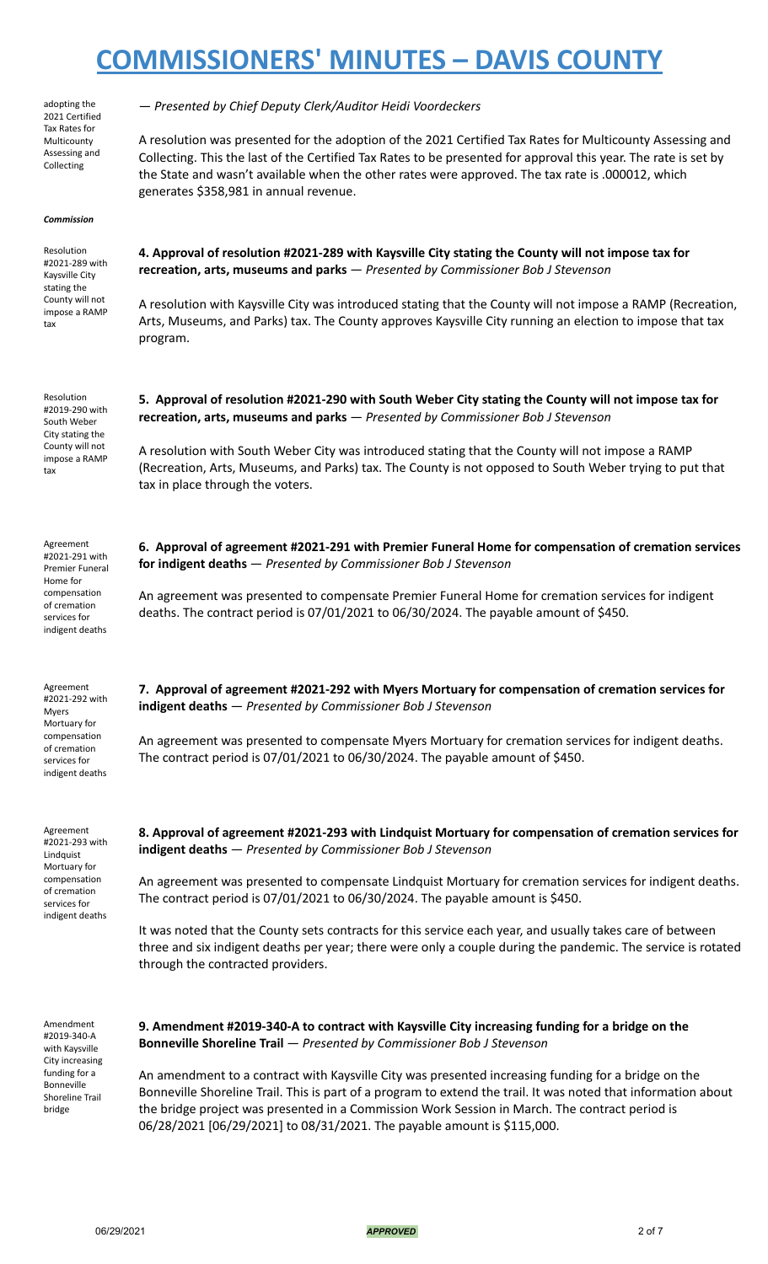| adopting the<br>2021 Certified                                                     | - Presented by Chief Deputy Clerk/Auditor Heidi Voordeckers                                                                                                                                                                                                                                                                                                                 |
|------------------------------------------------------------------------------------|-----------------------------------------------------------------------------------------------------------------------------------------------------------------------------------------------------------------------------------------------------------------------------------------------------------------------------------------------------------------------------|
| Tax Rates for<br>Multicounty<br>Assessing and<br>Collecting                        | A resolution was presented for the adoption of the 2021 Certified Tax Rates for Multicounty Assessing and<br>Collecting. This the last of the Certified Tax Rates to be presented for approval this year. The rate is set by<br>the State and wasn't available when the other rates were approved. The tax rate is .000012, which<br>generates \$358,981 in annual revenue. |
| <b>Commission</b>                                                                  |                                                                                                                                                                                                                                                                                                                                                                             |
| Resolution<br>#2021-289 with<br>Kaysville City                                     | 4. Approval of resolution #2021-289 with Kaysville City stating the County will not impose tax for<br>recreation, arts, museums and parks - Presented by Commissioner Bob J Stevenson                                                                                                                                                                                       |
| stating the<br>County will not<br>impose a RAMP<br>tax                             | A resolution with Kaysville City was introduced stating that the County will not impose a RAMP (Recreation,<br>Arts, Museums, and Parks) tax. The County approves Kaysville City running an election to impose that tax<br>program.                                                                                                                                         |
| Resolution<br>#2019-290 with<br>South Weber<br>City stating the                    | 5. Approval of resolution #2021-290 with South Weber City stating the County will not impose tax for<br>recreation, arts, museums and parks - Presented by Commissioner Bob J Stevenson                                                                                                                                                                                     |
| County will not<br>impose a RAMP<br>tax                                            | A resolution with South Weber City was introduced stating that the County will not impose a RAMP<br>(Recreation, Arts, Museums, and Parks) tax. The County is not opposed to South Weber trying to put that<br>tax in place through the voters.                                                                                                                             |
| Agreement                                                                          |                                                                                                                                                                                                                                                                                                                                                                             |
| #2021-291 with<br><b>Premier Funeral</b><br>Home for                               | 6. Approval of agreement #2021-291 with Premier Funeral Home for compensation of cremation services<br>for indigent deaths - Presented by Commissioner Bob J Stevenson                                                                                                                                                                                                      |
| compensation<br>of cremation<br>services for<br>indigent deaths                    | An agreement was presented to compensate Premier Funeral Home for cremation services for indigent<br>deaths. The contract period is 07/01/2021 to 06/30/2024. The payable amount of \$450.                                                                                                                                                                                  |
| Agreement<br>#2021-292 with<br><b>Myers</b><br>Mortuary for                        | 7. Approval of agreement #2021-292 with Myers Mortuary for compensation of cremation services for<br>indigent deaths - Presented by Commissioner Bob J Stevenson                                                                                                                                                                                                            |
| compensation<br>of cremation<br>services for<br>indigent deaths                    | An agreement was presented to compensate Myers Mortuary for cremation services for indigent deaths.<br>The contract period is $07/01/2021$ to $06/30/2024$ . The payable amount of \$450.                                                                                                                                                                                   |
| Agreement                                                                          |                                                                                                                                                                                                                                                                                                                                                                             |
| #2021-293 with<br>Lindquist                                                        | 8. Approval of agreement #2021-293 with Lindquist Mortuary for compensation of cremation services for<br>indigent deaths - Presented by Commissioner Bob J Stevenson                                                                                                                                                                                                        |
| Mortuary for<br>compensation<br>of cremation<br>services for                       | An agreement was presented to compensate Lindquist Mortuary for cremation services for indigent deaths.<br>The contract period is $07/01/2021$ to $06/30/2024$ . The payable amount is \$450.                                                                                                                                                                               |
| indigent deaths                                                                    | It was noted that the County sets contracts for this service each year, and usually takes care of between<br>three and six indigent deaths per year; there were only a couple during the pandemic. The service is rotated<br>through the contracted providers.                                                                                                              |
| Amendment<br>#2019-340-A<br>with Kaysville                                         | 9. Amendment #2019-340-A to contract with Kaysville City increasing funding for a bridge on the<br><b>Bonneville Shoreline Trail - Presented by Commissioner Bob J Stevenson</b>                                                                                                                                                                                            |
| City increasing<br>funding for a<br>Bonneville<br><b>Shoreline Trail</b><br>bridge | An amendment to a contract with Kaysville City was presented increasing funding for a bridge on the<br>Bonneville Shoreline Trail. This is part of a program to extend the trail. It was noted that information about<br>the bridge project was presented in a Commission Work Session in March. The contract period is                                                     |

06/29/2021 *APPROVED* 2 of 7

06/28/2021 [06/29/2021] to 08/31/2021. The payable amount is \$115,000.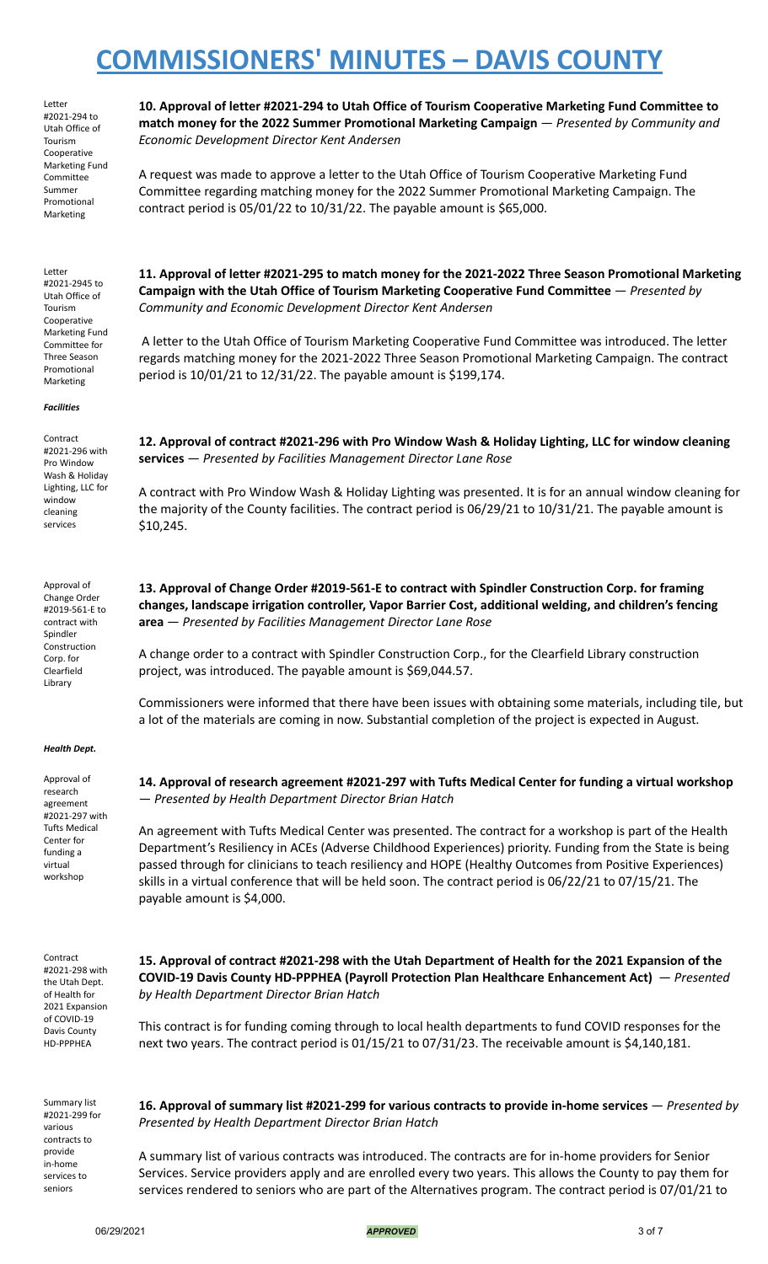Letter #2021-294 to Utah Office of Tourism Cooperative Marketing Fund Committee Summer Promotional Marketing

**10. Approval of letter #2021-294 to Utah Office of Tourism Cooperative Marketing Fund Committee to match money for the 2022 Summer Promotional Marketing Campaign** — *Presented by Community and Economic Development Director Kent Andersen*

A request was made to approve a letter to the Utah Office of Tourism Cooperative Marketing Fund Committee regarding matching money for the 2022 Summer Promotional Marketing Campaign. The contract period is 05/01/22 to 10/31/22. The payable amount is \$65,000.

Letter #2021-2945 to Utah Office of Tourism Cooperative Marketing Fund Committee for Three Season

Promotional Marketing

*Facilities*

Contract #2021-296 with Pro Window Wash & Holiday Lighting, LLC for window cleaning services

Approval of Change Order #2019-561-E to contract with Spindler Construction Corp. for Clearfield Library

#### *Health Dept.*

Approval of research agreement #2021-297 with Tufts Medical Center for funding a virtual workshop

Contract #2021-298 with the Utah Dept. of Health for 2021 Expansion of COVID-19 Davis County HD-PPPHEA

Summary list #2021-299 for various contracts to provide in-home services to seniors

**11. Approval of letter #2021-295 to match money for the 2021-2022 Three Season Promotional Marketing Campaign with the Utah Office of Tourism Marketing Cooperative Fund Committee** — *Presented by Community and Economic Development Director Kent Andersen*

A letter to the Utah Office of Tourism Marketing Cooperative Fund Committee was introduced. The letter regards matching money for the 2021-2022 Three Season Promotional Marketing Campaign. The contract period is 10/01/21 to 12/31/22. The payable amount is \$199,174.

**12. Approval of contract #2021-296 with Pro Window Wash & Holiday Lighting, LLC for window cleaning services** — *Presented by Facilities Management Director Lane Rose*

A contract with Pro Window Wash & Holiday Lighting was presented. It is for an annual window cleaning for the majority of the County facilities. The contract period is 06/29/21 to 10/31/21. The payable amount is \$10,245.

**13. Approval of Change Order #2019-561-E to contract with Spindler Construction Corp. for framing changes, landscape irrigation controller, Vapor Barrier Cost, additional welding, and children's fencing area** — *Presented by Facilities Management Director Lane Rose*

A change order to a contract with Spindler Construction Corp., for the Clearfield Library construction project, was introduced. The payable amount is \$69,044.57.

Commissioners were informed that there have been issues with obtaining some materials, including tile, but a lot of the materials are coming in now. Substantial completion of the project is expected in August.

**14. Approval of research agreement #2021-297 with Tufts Medical Center for funding a virtual workshop** — *Presented by Health Department Director Brian Hatch*

An agreement with Tufts Medical Center was presented. The contract for a workshop is part of the Health Department's Resiliency in ACEs (Adverse Childhood Experiences) priority. Funding from the State is being passed through for clinicians to teach resiliency and HOPE (Healthy Outcomes from Positive Experiences) skills in a virtual conference that will be held soon. The contract period is 06/22/21 to 07/15/21. The payable amount is \$4,000.

**15. Approval of contract #2021-298 with the Utah Department of Health for the 2021 Expansion of the COVID-19 Davis County HD-PPPHEA (Payroll Protection Plan Healthcare Enhancement Act)** — *Presented by Health Department Director Brian Hatch*

This contract is for funding coming through to local health departments to fund COVID responses for the next two years. The contract period is 01/15/21 to 07/31/23. The receivable amount is \$4,140,181.

**16. Approval of summary list #2021-299 for various contracts to provide in-home services** — *Presented by Presented by Health Department Director Brian Hatch*

A summary list of various contracts was introduced. The contracts are for in-home providers for Senior Services. Service providers apply and are enrolled every two years. This allows the County to pay them for services rendered to seniors who are part of the Alternatives program. The contract period is 07/01/21 to

06/29/2021 *APPROVED* 3 of 7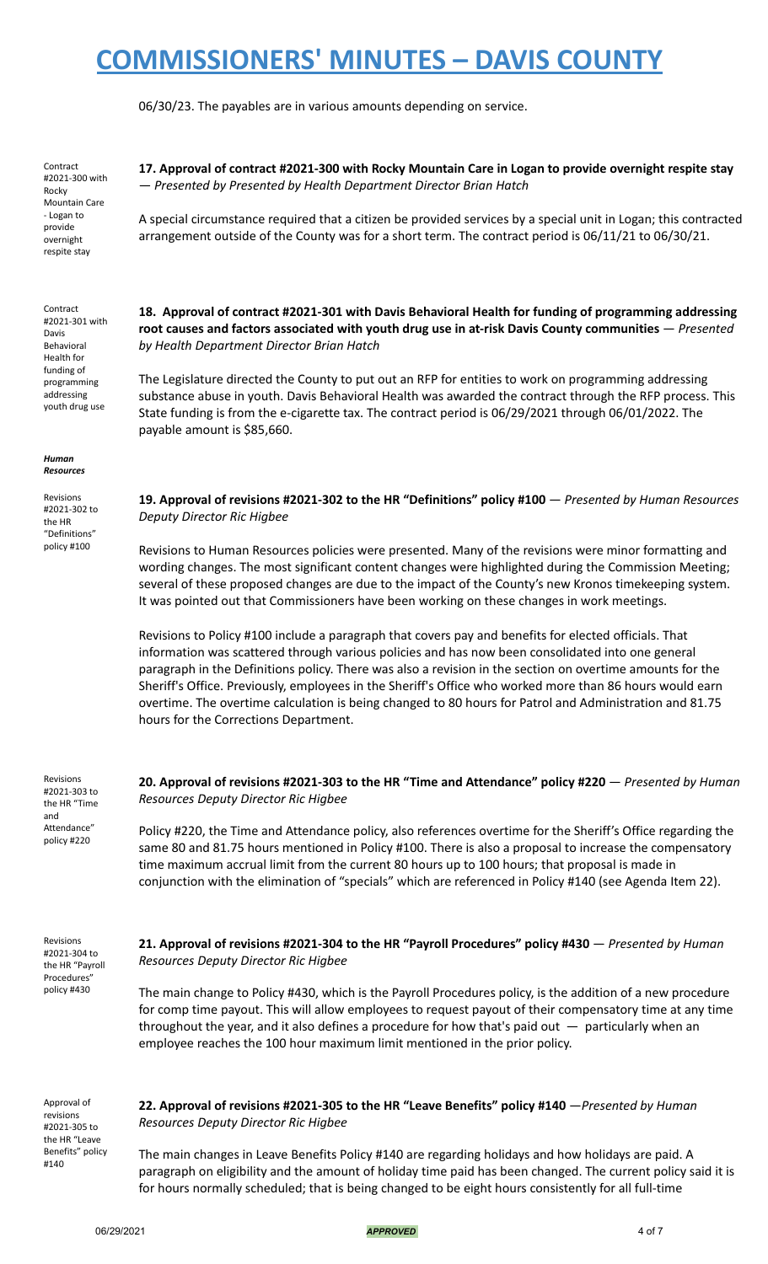06/30/23. The payables are in various amounts depending on service.

Contract #2021-300 with Rocky Mountain Care - Logan to provide overnight respite stay

Contract #2021-301 with Davis Behavioral Health for funding of programming addressing youth drug use

*Human Resources*

Revisions #2021-302 to the HR "Definitions" policy #100

**17. Approval of contract #2021-300 with Rocky Mountain Care in Logan to provide overnight respite stay** — *Presented by Presented by Health Department Director Brian Hatch*

A special circumstance required that a citizen be provided services by a special unit in Logan; this contracted arrangement outside of the County was for a short term. The contract period is 06/11/21 to 06/30/21.

**18. Approval of contract #2021-301 with Davis Behavioral Health for funding of programming addressing root causes and factors associated with youth drug use in at-risk Davis County communities** — *Presented by Health Department Director Brian Hatch*

The Legislature directed the County to put out an RFP for entities to work on programming addressing substance abuse in youth. Davis Behavioral Health was awarded the contract through the RFP process. This State funding is from the e-cigarette tax. The contract period is 06/29/2021 through 06/01/2022. The payable amount is \$85,660.

**19. Approval of revisions #2021-302 to the HR "Definitions" policy #100** — *Presented by Human Resources Deputy Director Ric Higbee*

Revisions to Human Resources policies were presented. Many of the revisions were minor formatting and wording changes. The most significant content changes were highlighted during the Commission Meeting; several of these proposed changes are due to the impact of the County's new Kronos timekeeping system. It was pointed out that Commissioners have been working on these changes in work meetings.

Revisions to Policy #100 include a paragraph that covers pay and benefits for elected officials. That information was scattered through various policies and has now been consolidated into one general paragraph in the Definitions policy. There was also a revision in the section on overtime amounts for the Sheriff's Office. Previously, employees in the Sheriff's Office who worked more than 86 hours would earn overtime. The overtime calculation is being changed to 80 hours for Patrol and Administration and 81.75 hours for the Corrections Department.

Revisions #2021-303 to the HR "Time and Attendance" policy #220

**20. Approval of revisions #2021-303 to the HR "Time and Attendance" policy #220** — *Presented by Human Resources Deputy Director Ric Higbee*

Policy #220, the Time and Attendance policy, also references overtime for the Sheriff's Office regarding the same 80 and 81.75 hours mentioned in Policy #100. There is also a proposal to increase the compensatory time maximum accrual limit from the current 80 hours up to 100 hours; that proposal is made in conjunction with the elimination of "specials" which are referenced in Policy #140 (see Agenda Item 22).

Revisions #2021-304 to the HR "Payroll Procedures" policy #430

**21. Approval of revisions #2021-304 to the HR "Payroll Procedures" policy #430** — *Presented by Human Resources Deputy Director Ric Higbee*

The main change to Policy #430, which is the Payroll Procedures policy, is the addition of a new procedure for comp time payout. This will allow employees to request payout of their compensatory time at any time throughout the year, and it also defines a procedure for how that's paid out  $-$  particularly when an employee reaches the 100 hour maximum limit mentioned in the prior policy.

Approval of revisions #2021-305 to the HR "Leave Benefits" policy #140

**22. Approval of revisions #2021-305 to the HR "Leave Benefits" policy #140** —*Presented by Human Resources Deputy Director Ric Higbee*

The main changes in Leave Benefits Policy #140 are regarding holidays and how holidays are paid. A paragraph on eligibility and the amount of holiday time paid has been changed. The current policy said it is for hours normally scheduled; that is being changed to be eight hours consistently for all full-time

06/29/2021 *APPROVED* 4 of 7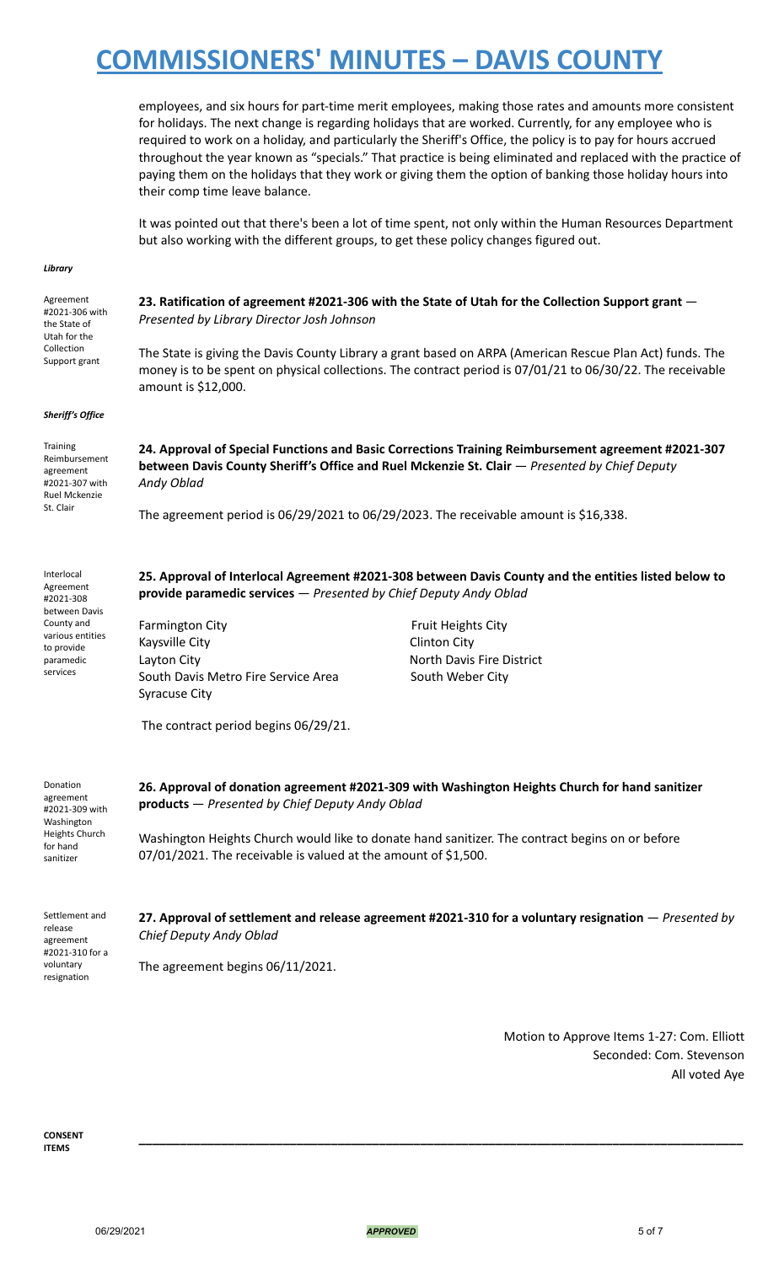employees, and six hours for part-time merit employees, making those rates and amounts more consistent for holidays. The next change is regarding holidays that are worked. Currently, for any employee who is required to work on a holiday, and particularly the Sheriff's Office, the policy is to pay for hours accrued throughout the year known as "specials." That practice is being eliminated and replaced with the practice of paying them on the holidays that they work or giving them the option of banking those holiday hours into their comp time leave balance.

It was pointed out that there's been a lot of time spent, not only within the Human Resources Department but also working with the different groups, to get these policy changes figured out.

#### *Library*

Agreement #2021-306 with the State of Utah for the Collection Support grant

**23. Ratification of agreement #2021-306 with the State of Utah for the Collection Support grant** — *Presented by Library Director Josh Johnson*

The State is giving the Davis County Library a grant based on ARPA (American Rescue Plan Act) funds. The money is to be spent on physical collections. The contract period is 07/01/21 to 06/30/22. The receivable amount is \$12,000.

#### *Sheriff's Office*

Training Reimbursement agreement #2021-307 with Ruel Mckenzie St. Clair

various entities to provide paramedic services

**24. Approval of Special Functions and Basic Corrections Training Reimbursement agreement #2021-307 between Davis County Sheriff's Office and Ruel Mckenzie St. Clair** — *Presented by Chief Deputy Andy Oblad*

The agreement period is 06/29/2021 to 06/29/2023. The receivable amount is \$16,338.

Interlocal Agreement #2021-308 between Davis County and **25. Approval of Interlocal Agreement #2021-308 between Davis County and the entities listed below to provide paramedic services** — *Presented by Chief Deputy Andy Oblad*

Farmington City **Fruit Heights City Fruit Heights City** Kaysville City **Clinton City** Layton City **North Davis Fire District** South Davis Metro Fire Service Area South Weber City Syracuse City

The contract period begins 06/29/21.

| Donation       |
|----------------|
| agreement      |
| #2021-309 with |
| Washington     |
| Heights Church |
| for hand       |
| sanitizer      |

**26. Approval of donation agreement #2021-309 with Washington Heights Church for hand sanitizer products** — *Presented by Chief Deputy Andy Oblad*

Washington Heights Church would like to donate hand sanitizer. The contract begins on or before 07/01/2021. The receivable is valued at the amount of \$1,500.

Settlement and release agreement #2021-310 for a voluntary resignation

**27. Approval of settlement and release agreement #2021-310 for a voluntary resignation** — *Presented by Chief Deputy Andy Oblad*

**\_\_\_\_\_\_\_\_\_\_\_\_\_\_\_\_\_\_\_\_\_\_\_\_\_\_\_\_\_\_\_\_\_\_\_\_\_\_\_\_\_\_\_\_\_\_\_\_\_\_\_\_\_\_\_\_\_\_\_\_\_\_\_\_\_\_\_\_\_\_\_\_\_\_\_\_\_\_\_\_\_\_\_\_\_\_\_\_**

The agreement begins 06/11/2021.

Motion to Approve Items 1-27: Com. Elliott Seconded: Com. Stevenson All voted Aye

**CONSENT ITEMS**

06/29/2021 *APPROVED* 5 of 7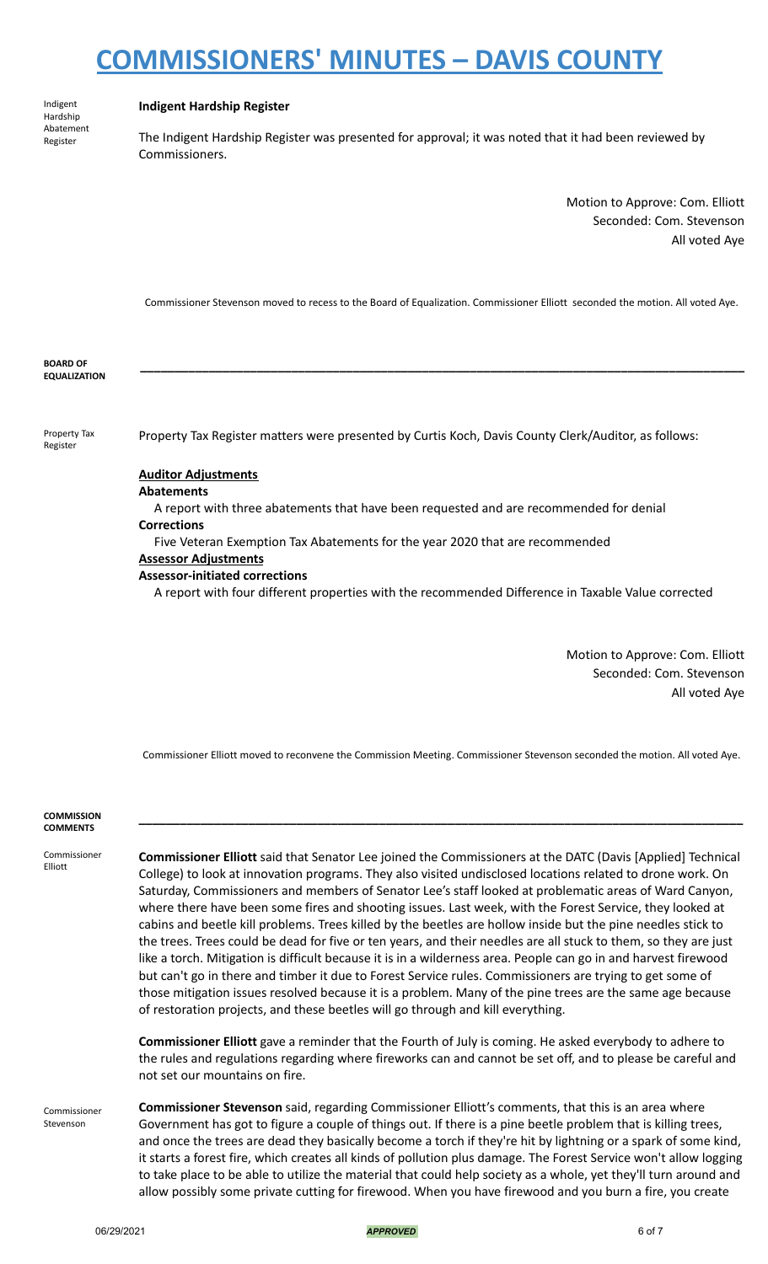Indigent Hardship Abatement Register

### **Indigent Hardship Register**

The Indigent Hardship Register was presented for approval; it was noted that it had been reviewed by Commissioners.

> Motion to Approve: Com. Elliott Seconded: Com. Stevenson All voted Aye

Commissioner Stevenson moved to recess to the Board of Equalization. Commissioner Elliott seconded the motion. All voted Aye.

**\_\_\_\_\_\_\_\_\_\_\_\_\_\_\_\_\_\_\_\_\_\_\_\_\_\_\_\_\_\_\_\_\_\_\_\_\_\_\_\_\_\_\_\_\_\_\_\_\_\_\_\_\_\_\_\_\_\_\_\_\_\_\_\_\_\_\_\_\_\_\_\_\_\_\_\_\_\_\_\_\_\_\_\_\_\_\_\_**

**BOARD OF EQUALIZATION**

Property Tax Register

Property Tax Register matters were presented by Curtis Koch, Davis County Clerk/Auditor, as follows:

### **Auditor Adjustments**

**Abatements**

A report with three abatements that have been requested and are recommended for denial **Corrections**

Five Veteran Exemption Tax Abatements for the year 2020 that are recommended **Assessor Adjustments**

### **Assessor-initiated corrections**

A report with four different properties with the recommended Difference in Taxable Value corrected

Motion to Approve: Com. Elliott Seconded: Com. Stevenson All voted Aye

Commissioner Elliott moved to reconvene the Commission Meeting. Commissioner Stevenson seconded the motion. All voted Aye.

**\_\_\_\_\_\_\_\_\_\_\_\_\_\_\_\_\_\_\_\_\_\_\_\_\_\_\_\_\_\_\_\_\_\_\_\_\_\_\_\_\_\_\_\_\_\_\_\_\_\_\_\_\_\_\_\_\_\_\_\_\_\_\_\_\_\_\_\_\_\_\_\_\_\_\_\_\_\_\_\_\_\_\_\_\_\_\_\_**

#### **COMMISSION COMMENTS**

Commissioner Elliott

**Commissioner Elliott** said that Senator Lee joined the Commissioners at the DATC (Davis [Applied] Technical College) to look at innovation programs. They also visited undisclosed locations related to drone work. On Saturday, Commissioners and members of Senator Lee's staff looked at problematic areas of Ward Canyon, where there have been some fires and shooting issues. Last week, with the Forest Service, they looked at cabins and beetle kill problems. Trees killed by the beetles are hollow inside but the pine needles stick to the trees. Trees could be dead for five or ten years, and their needles are all stuck to them, so they are just like a torch. Mitigation is difficult because it is in a wilderness area. People can go in and harvest firewood but can't go in there and timber it due to Forest Service rules. Commissioners are trying to get some of those mitigation issues resolved because it is a problem. Many of the pine trees are the same age because of restoration projects, and these beetles will go through and kill everything.

**Commissioner Elliott** gave a reminder that the Fourth of July is coming. He asked everybody to adhere to the rules and regulations regarding where fireworks can and cannot be set off, and to please be careful and not set our mountains on fire.

Commissioner Stevenson **Commissioner Stevenson** said, regarding Commissioner Elliott's comments, that this is an area where Government has got to figure a couple of things out. If there is a pine beetle problem that is killing trees, and once the trees are dead they basically become a torch if they're hit by lightning or a spark of some kind, it starts a forest fire, which creates all kinds of pollution plus damage. The Forest Service won't allow logging to take place to be able to utilize the material that could help society as a whole, yet they'll turn around and allow possibly some private cutting for firewood. When you have firewood and you burn a fire, you create